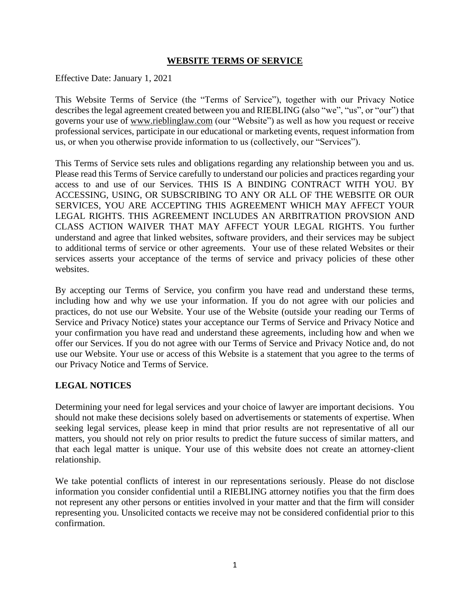### **WEBSITE TERMS OF SERVICE**

Effective Date: January 1, 2021

This Website Terms of Service (the "Terms of Service"), together with our Privacy Notice describes the legal agreement created between you and RIEBLING (also "we", "us", or "our") that governs your use of [www.rieblinglaw.com](http://www.rieblinglaw.com/) (our "Website") as well as how you request or receive professional services, participate in our educational or marketing events, request information from us, or when you otherwise provide information to us (collectively, our "Services").

This Terms of Service sets rules and obligations regarding any relationship between you and us. Please read this Terms of Service carefully to understand our policies and practices regarding your access to and use of our Services. THIS IS A BINDING CONTRACT WITH YOU. BY ACCESSING, USING, OR SUBSCRIBING TO ANY OR ALL OF THE WEBSITE OR OUR SERVICES, YOU ARE ACCEPTING THIS AGREEMENT WHICH MAY AFFECT YOUR LEGAL RIGHTS. THIS AGREEMENT INCLUDES AN ARBITRATION PROVSION AND CLASS ACTION WAIVER THAT MAY AFFECT YOUR LEGAL RIGHTS. You further understand and agree that linked websites, software providers, and their services may be subject to additional terms of service or other agreements. Your use of these related Websites or their services asserts your acceptance of the terms of service and privacy policies of these other websites.

By accepting our Terms of Service, you confirm you have read and understand these terms, including how and why we use your information. If you do not agree with our policies and practices, do not use our Website. Your use of the Website (outside your reading our Terms of Service and Privacy Notice) states your acceptance our Terms of Service and Privacy Notice and your confirmation you have read and understand these agreements, including how and when we offer our Services. If you do not agree with our Terms of Service and Privacy Notice and, do not use our Website. Your use or access of this Website is a statement that you agree to the terms of our Privacy Notice and Terms of Service.

### **LEGAL NOTICES**

Determining your need for legal services and your choice of lawyer are important decisions. You should not make these decisions solely based on advertisements or statements of expertise. When seeking legal services, please keep in mind that prior results are not representative of all our matters, you should not rely on prior results to predict the future success of similar matters, and that each legal matter is unique. Your use of this website does not create an attorney-client relationship.

We take potential conflicts of interest in our representations seriously. Please do not disclose information you consider confidential until a RIEBLING attorney notifies you that the firm does not represent any other persons or entities involved in your matter and that the firm will consider representing you. Unsolicited contacts we receive may not be considered confidential prior to this confirmation.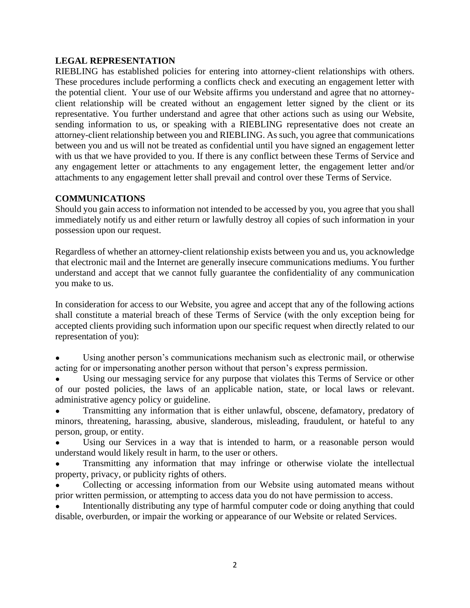### **LEGAL REPRESENTATION**

RIEBLING has established policies for entering into attorney-client relationships with others. These procedures include performing a conflicts check and executing an engagement letter with the potential client. Your use of our Website affirms you understand and agree that no attorneyclient relationship will be created without an engagement letter signed by the client or its representative. You further understand and agree that other actions such as using our Website, sending information to us, or speaking with a RIEBLING representative does not create an attorney-client relationship between you and RIEBLING. As such, you agree that communications between you and us will not be treated as confidential until you have signed an engagement letter with us that we have provided to you. If there is any conflict between these Terms of Service and any engagement letter or attachments to any engagement letter, the engagement letter and/or attachments to any engagement letter shall prevail and control over these Terms of Service.

# **COMMUNICATIONS**

Should you gain access to information not intended to be accessed by you, you agree that you shall immediately notify us and either return or lawfully destroy all copies of such information in your possession upon our request.

Regardless of whether an attorney-client relationship exists between you and us, you acknowledge that electronic mail and the Internet are generally insecure communications mediums. You further understand and accept that we cannot fully guarantee the confidentiality of any communication you make to us.

In consideration for access to our Website, you agree and accept that any of the following actions shall constitute a material breach of these Terms of Service (with the only exception being for accepted clients providing such information upon our specific request when directly related to our representation of you):

Using another person's communications mechanism such as electronic mail, or otherwise acting for or impersonating another person without that person's express permission.

Using our messaging service for any purpose that violates this Terms of Service or other of our posted policies, the laws of an applicable nation, state, or local laws or relevant. administrative agency policy or guideline.

• Transmitting any information that is either unlawful, obscene, defamatory, predatory of minors, threatening, harassing, abusive, slanderous, misleading, fraudulent, or hateful to any person, group, or entity.

Using our Services in a way that is intended to harm, or a reasonable person would understand would likely result in harm, to the user or others.

Transmitting any information that may infringe or otherwise violate the intellectual property, privacy, or publicity rights of others.

Collecting or accessing information from our Website using automated means without prior written permission, or attempting to access data you do not have permission to access.

Intentionally distributing any type of harmful computer code or doing anything that could disable, overburden, or impair the working or appearance of our Website or related Services.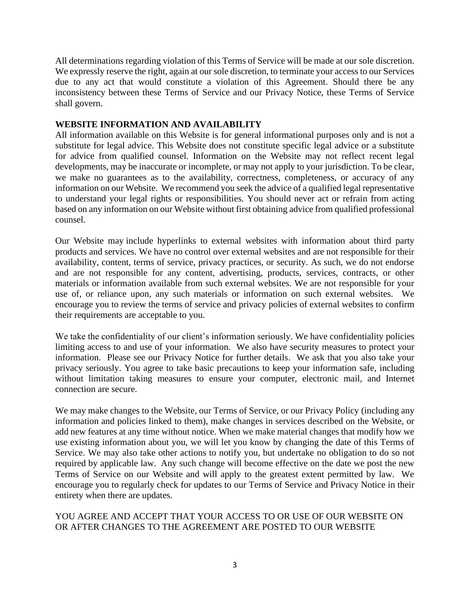All determinations regarding violation of this Terms of Service will be made at our sole discretion. We expressly reserve the right, again at our sole discretion, to terminate your access to our Services due to any act that would constitute a violation of this Agreement. Should there be any inconsistency between these Terms of Service and our Privacy Notice, these Terms of Service shall govern.

### **WEBSITE INFORMATION AND AVAILABILITY**

All information available on this Website is for general informational purposes only and is not a substitute for legal advice. This Website does not constitute specific legal advice or a substitute for advice from qualified counsel. Information on the Website may not reflect recent legal developments, may be inaccurate or incomplete, or may not apply to your jurisdiction. To be clear, we make no guarantees as to the availability, correctness, completeness, or accuracy of any information on our Website. We recommend you seek the advice of a qualified legal representative to understand your legal rights or responsibilities. You should never act or refrain from acting based on any information on our Website without first obtaining advice from qualified professional counsel.

Our Website may include hyperlinks to external websites with information about third party products and services. We have no control over external websites and are not responsible for their availability, content, terms of service, privacy practices, or security. As such, we do not endorse and are not responsible for any content, advertising, products, services, contracts, or other materials or information available from such external websites. We are not responsible for your use of, or reliance upon, any such materials or information on such external websites. We encourage you to review the terms of service and privacy policies of external websites to confirm their requirements are acceptable to you.

We take the confidentiality of our client's information seriously. We have confidentiality policies limiting access to and use of your information. We also have security measures to protect your information. Please see our Privacy Notice for further details. We ask that you also take your privacy seriously. You agree to take basic precautions to keep your information safe, including without limitation taking measures to ensure your computer, electronic mail, and Internet connection are secure.

We may make changes to the Website, our Terms of Service, or our Privacy Policy (including any information and policies linked to them), make changes in services described on the Website, or add new features at any time without notice. When we make material changes that modify how we use existing information about you, we will let you know by changing the date of this Terms of Service. We may also take other actions to notify you, but undertake no obligation to do so not required by applicable law. Any such change will become effective on the date we post the new Terms of Service on our Website and will apply to the greatest extent permitted by law. We encourage you to regularly check for updates to our Terms of Service and Privacy Notice in their entirety when there are updates.

# YOU AGREE AND ACCEPT THAT YOUR ACCESS TO OR USE OF OUR WEBSITE ON OR AFTER CHANGES TO THE AGREEMENT ARE POSTED TO OUR WEBSITE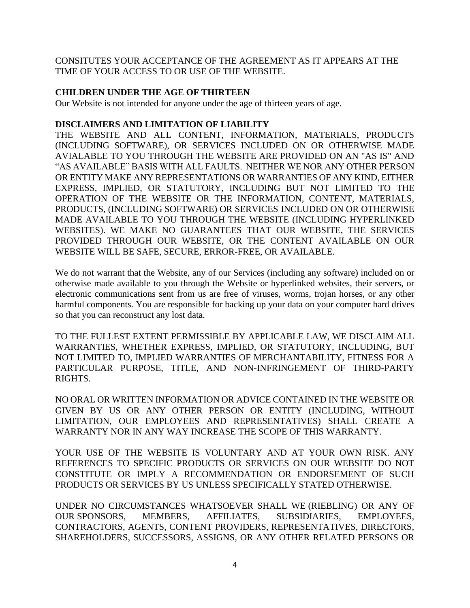CONSITUTES YOUR ACCEPTANCE OF THE AGREEMENT AS IT APPEARS AT THE TIME OF YOUR ACCESS TO OR USE OF THE WEBSITE.

### **CHILDREN UNDER THE AGE OF THIRTEEN**

Our Website is not intended for anyone under the age of thirteen years of age.

#### **DISCLAIMERS AND LIMITATION OF LIABILITY**

THE WEBSITE AND ALL CONTENT, INFORMATION, MATERIALS, PRODUCTS (INCLUDING SOFTWARE), OR SERVICES INCLUDED ON OR OTHERWISE MADE AVIALABLE TO YOU THROUGH THE WEBSITE ARE PROVIDED ON AN "AS IS" AND "AS AVAILABLE" BASIS WITH ALL FAULTS. NEITHER WE NOR ANY OTHER PERSON OR ENTITY MAKE ANY REPRESENTATIONS OR WARRANTIES OF ANY KIND, EITHER EXPRESS, IMPLIED, OR STATUTORY, INCLUDING BUT NOT LIMITED TO THE OPERATION OF THE WEBSITE OR THE INFORMATION, CONTENT, MATERIALS, PRODUCTS, (INCLUDING SOFTWARE) OR SERVICES INCLUDED ON OR OTHERWISE MADE AVAILABLE TO YOU THROUGH THE WEBSITE (INCLUDING HYPERLINKED WEBSITES). WE MAKE NO GUARANTEES THAT OUR WEBSITE, THE SERVICES PROVIDED THROUGH OUR WEBSITE, OR THE CONTENT AVAILABLE ON OUR WEBSITE WILL BE SAFE, SECURE, ERROR-FREE, OR AVAILABLE.

We do not warrant that the Website, any of our Services (including any software) included on or otherwise made available to you through the Website or hyperlinked websites, their servers, or electronic communications sent from us are free of viruses, worms, trojan horses, or any other harmful components. You are responsible for backing up your data on your computer hard drives so that you can reconstruct any lost data.

TO THE FULLEST EXTENT PERMISSIBLE BY APPLICABLE LAW, WE DISCLAIM ALL WARRANTIES, WHETHER EXPRESS, IMPLIED, OR STATUTORY, INCLUDING, BUT NOT LIMITED TO, IMPLIED WARRANTIES OF MERCHANTABILITY, FITNESS FOR A PARTICULAR PURPOSE, TITLE, AND NON-INFRINGEMENT OF THIRD-PARTY RIGHTS.

NO ORAL OR WRITTEN INFORMATION OR ADVICE CONTAINED IN THE WEBSITE OR GIVEN BY US OR ANY OTHER PERSON OR ENTITY (INCLUDING, WITHOUT LIMITATION, OUR EMPLOYEES AND REPRESENTATIVES) SHALL CREATE A WARRANTY NOR IN ANY WAY INCREASE THE SCOPE OF THIS WARRANTY.

YOUR USE OF THE WEBSITE IS VOLUNTARY AND AT YOUR OWN RISK. ANY REFERENCES TO SPECIFIC PRODUCTS OR SERVICES ON OUR WEBSITE DO NOT CONSTITUTE OR IMPLY A RECOMMENDATION OR ENDORSEMENT OF SUCH PRODUCTS OR SERVICES BY US UNLESS SPECIFICALLY STATED OTHERWISE.

UNDER NO CIRCUMSTANCES WHATSOEVER SHALL WE (RIEBLING) OR ANY OF OUR SPONSORS, MEMBERS, AFFILIATES, SUBSIDIARIES, EMPLOYEES, CONTRACTORS, AGENTS, CONTENT PROVIDERS, REPRESENTATIVES, DIRECTORS, SHAREHOLDERS, SUCCESSORS, ASSIGNS, OR ANY OTHER RELATED PERSONS OR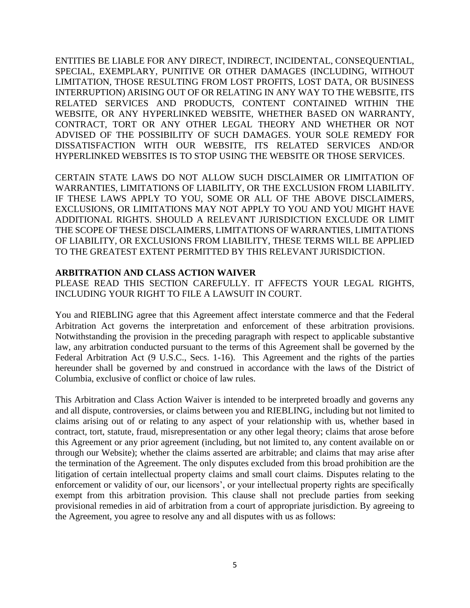ENTITIES BE LIABLE FOR ANY DIRECT, INDIRECT, INCIDENTAL, CONSEQUENTIAL, SPECIAL, EXEMPLARY, PUNITIVE OR OTHER DAMAGES (INCLUDING, WITHOUT LIMITATION, THOSE RESULTING FROM LOST PROFITS, LOST DATA, OR BUSINESS INTERRUPTION) ARISING OUT OF OR RELATING IN ANY WAY TO THE WEBSITE, ITS RELATED SERVICES AND PRODUCTS, CONTENT CONTAINED WITHIN THE WEBSITE, OR ANY HYPERLINKED WEBSITE, WHETHER BASED ON WARRANTY, CONTRACT, TORT OR ANY OTHER LEGAL THEORY AND WHETHER OR NOT ADVISED OF THE POSSIBILITY OF SUCH DAMAGES. YOUR SOLE REMEDY FOR DISSATISFACTION WITH OUR WEBSITE, ITS RELATED SERVICES AND/OR HYPERLINKED WEBSITES IS TO STOP USING THE WEBSITE OR THOSE SERVICES.

CERTAIN STATE LAWS DO NOT ALLOW SUCH DISCLAIMER OR LIMITATION OF WARRANTIES, LIMITATIONS OF LIABILITY, OR THE EXCLUSION FROM LIABILITY. IF THESE LAWS APPLY TO YOU, SOME OR ALL OF THE ABOVE DISCLAIMERS, EXCLUSIONS, OR LIMITATIONS MAY NOT APPLY TO YOU AND YOU MIGHT HAVE ADDITIONAL RIGHTS. SHOULD A RELEVANT JURISDICTION EXCLUDE OR LIMIT THE SCOPE OF THESE DISCLAIMERS, LIMITATIONS OF WARRANTIES, LIMITATIONS OF LIABILITY, OR EXCLUSIONS FROM LIABILITY, THESE TERMS WILL BE APPLIED TO THE GREATEST EXTENT PERMITTED BY THIS RELEVANT JURISDICTION.

#### **ARBITRATION AND CLASS ACTION WAIVER**

PLEASE READ THIS SECTION CAREFULLY. IT AFFECTS YOUR LEGAL RIGHTS, INCLUDING YOUR RIGHT TO FILE A LAWSUIT IN COURT.

You and RIEBLING agree that this Agreement affect interstate commerce and that the Federal Arbitration Act governs the interpretation and enforcement of these arbitration provisions. Notwithstanding the provision in the preceding paragraph with respect to applicable substantive law, any arbitration conducted pursuant to the terms of this Agreement shall be governed by the Federal Arbitration Act (9 U.S.C., Secs. 1-16). This Agreement and the rights of the parties hereunder shall be governed by and construed in accordance with the laws of the District of Columbia, exclusive of conflict or choice of law rules.

This Arbitration and Class Action Waiver is intended to be interpreted broadly and governs any and all dispute, controversies, or claims between you and RIEBLING, including but not limited to claims arising out of or relating to any aspect of your relationship with us, whether based in contract, tort, statute, fraud, misrepresentation or any other legal theory; claims that arose before this Agreement or any prior agreement (including, but not limited to, any content available on or through our Website); whether the claims asserted are arbitrable; and claims that may arise after the termination of the Agreement. The only disputes excluded from this broad prohibition are the litigation of certain intellectual property claims and small court claims. Disputes relating to the enforcement or validity of our, our licensors', or your intellectual property rights are specifically exempt from this arbitration provision. This clause shall not preclude parties from seeking provisional remedies in aid of arbitration from a court of appropriate jurisdiction. By agreeing to the Agreement, you agree to resolve any and all disputes with us as follows: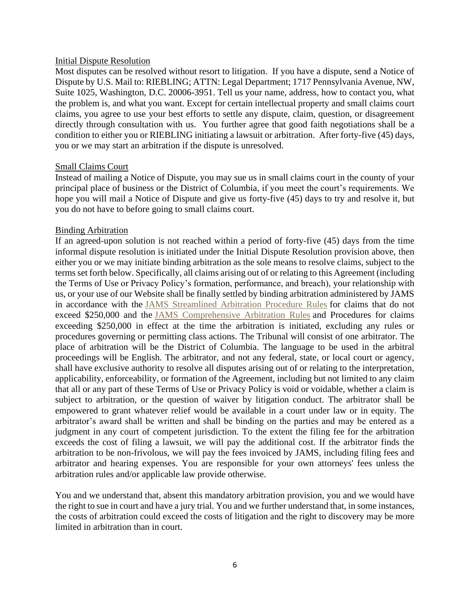#### Initial Dispute Resolution

Most disputes can be resolved without resort to litigation. If you have a dispute, send a Notice of Dispute by U.S. Mail to: RIEBLING; ATTN: Legal Department; 1717 Pennsylvania Avenue, NW, Suite 1025, Washington, D.C. 20006-3951. Tell us your name, address, how to contact you, what the problem is, and what you want. Except for certain intellectual property and small claims court claims, you agree to use your best efforts to settle any dispute, claim, question, or disagreement directly through consultation with us. You further agree that good faith negotiations shall be a condition to either you or RIEBLING initiating a lawsuit or arbitration. After forty-five (45) days, you or we may start an arbitration if the dispute is unresolved.

#### Small Claims Court

Instead of mailing a Notice of Dispute, you may sue us in small claims court in the county of your principal place of business or the District of Columbia, if you meet the court's requirements. We hope you will mail a Notice of Dispute and give us forty-five (45) days to try and resolve it, but you do not have to before going to small claims court.

#### Binding Arbitration

If an agreed-upon solution is not reached within a period of forty-five (45) days from the time informal dispute resolution is initiated under the Initial Dispute Resolution provision above, then either you or we may initiate binding arbitration as the sole means to resolve claims, subject to the terms set forth below. Specifically, all claims arising out of or relating to this Agreement (including the Terms of Use or Privacy Policy's formation, performance, and breach), your relationship with us, or your use of our Website shall be finally settled by binding arbitration administered by JAMS in accordance with the [JAMS Streamlined Arbitration Procedure Rules](https://www.jamsadr.com/rules-streamlined-arbitration/) for claims that do not exceed \$250,000 and the [JAMS Comprehensive Arbitration Rules](https://www.jamsadr.com/rules-comprehensive-arbitration/) and Procedures for claims exceeding \$250,000 in effect at the time the arbitration is initiated, excluding any rules or procedures governing or permitting class actions. The Tribunal will consist of one arbitrator. The place of arbitration will be the District of Columbia. The language to be used in the arbitral proceedings will be English. The arbitrator, and not any federal, state, or local court or agency, shall have exclusive authority to resolve all disputes arising out of or relating to the interpretation, applicability, enforceability, or formation of the Agreement, including but not limited to any claim that all or any part of these Terms of Use or Privacy Policy is void or voidable, whether a claim is subject to arbitration, or the question of waiver by litigation conduct. The arbitrator shall be empowered to grant whatever relief would be available in a court under law or in equity. The arbitrator's award shall be written and shall be binding on the parties and may be entered as a judgment in any court of competent jurisdiction. To the extent the filing fee for the arbitration exceeds the cost of filing a lawsuit, we will pay the additional cost. If the arbitrator finds the arbitration to be non-frivolous, we will pay the fees invoiced by JAMS, including filing fees and arbitrator and hearing expenses. You are responsible for your own attorneys' fees unless the arbitration rules and/or applicable law provide otherwise.

You and we understand that, absent this mandatory arbitration provision, you and we would have the right to sue in court and have a jury trial. You and we further understand that, in some instances, the costs of arbitration could exceed the costs of litigation and the right to discovery may be more limited in arbitration than in court.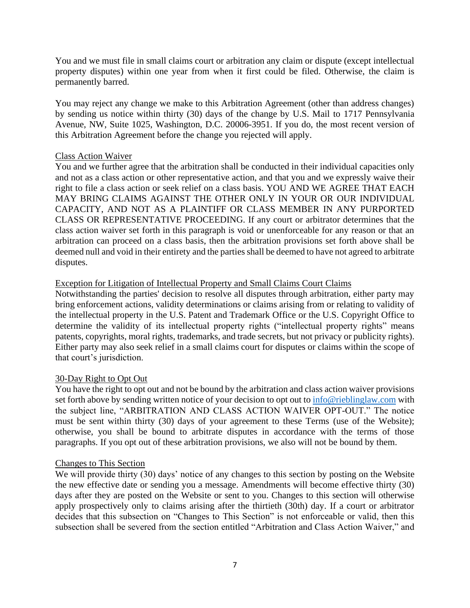You and we must file in small claims court or arbitration any claim or dispute (except intellectual property disputes) within one year from when it first could be filed. Otherwise, the claim is permanently barred.

You may reject any change we make to this Arbitration Agreement (other than address changes) by sending us notice within thirty (30) days of the change by U.S. Mail to 1717 Pennsylvania Avenue, NW, Suite 1025, Washington, D.C. 20006-3951. If you do, the most recent version of this Arbitration Agreement before the change you rejected will apply.

### Class Action Waiver

You and we further agree that the arbitration shall be conducted in their individual capacities only and not as a class action or other representative action, and that you and we expressly waive their right to file a class action or seek relief on a class basis. YOU AND WE AGREE THAT EACH MAY BRING CLAIMS AGAINST THE OTHER ONLY IN YOUR OR OUR INDIVIDUAL CAPACITY, AND NOT AS A PLAINTIFF OR CLASS MEMBER IN ANY PURPORTED CLASS OR REPRESENTATIVE PROCEEDING. If any court or arbitrator determines that the class action waiver set forth in this paragraph is void or unenforceable for any reason or that an arbitration can proceed on a class basis, then the arbitration provisions set forth above shall be deemed null and void in their entirety and the parties shall be deemed to have not agreed to arbitrate disputes.

### Exception for Litigation of Intellectual Property and Small Claims Court Claims

Notwithstanding the parties' decision to resolve all disputes through arbitration, either party may bring enforcement actions, validity determinations or claims arising from or relating to validity of the intellectual property in the U.S. Patent and Trademark Office or the U.S. Copyright Office to determine the validity of its intellectual property rights ("intellectual property rights" means patents, copyrights, moral rights, trademarks, and trade secrets, but not privacy or publicity rights). Either party may also seek relief in a small claims court for disputes or claims within the scope of that court's jurisdiction.

### 30-Day Right to Opt Out

You have the right to opt out and not be bound by the arbitration and class action waiver provisions set forth above by sending written notice of your decision to opt out to [info@rieblinglaw.com](mailto:info@rieblinglaw.com) with the subject line, "ARBITRATION AND CLASS ACTION WAIVER OPT-OUT." The notice must be sent within thirty (30) days of your agreement to these Terms (use of the Website); otherwise, you shall be bound to arbitrate disputes in accordance with the terms of those paragraphs. If you opt out of these arbitration provisions, we also will not be bound by them.

#### Changes to This Section

We will provide thirty (30) days' notice of any changes to this section by posting on the Website the new effective date or sending you a message. Amendments will become effective thirty (30) days after they are posted on the Website or sent to you. Changes to this section will otherwise apply prospectively only to claims arising after the thirtieth (30th) day. If a court or arbitrator decides that this subsection on "Changes to This Section" is not enforceable or valid, then this subsection shall be severed from the section entitled "Arbitration and Class Action Waiver," and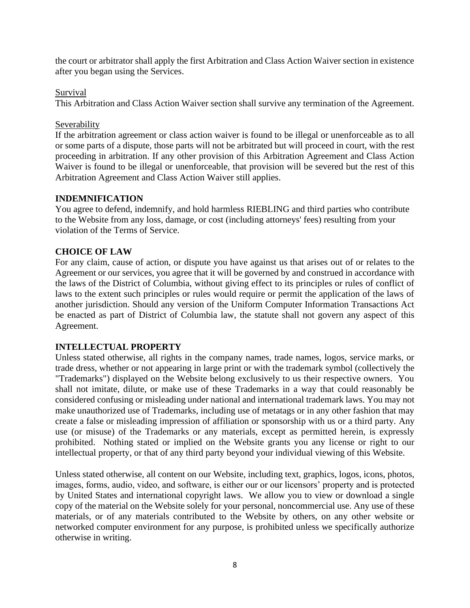the court or arbitrator shall apply the first Arbitration and Class Action Waiver section in existence after you began using the Services.

### Survival

This Arbitration and Class Action Waiver section shall survive any termination of the Agreement.

### Severability

If the arbitration agreement or class action waiver is found to be illegal or unenforceable as to all or some parts of a dispute, those parts will not be arbitrated but will proceed in court, with the rest proceeding in arbitration. If any other provision of this Arbitration Agreement and Class Action Waiver is found to be illegal or unenforceable, that provision will be severed but the rest of this Arbitration Agreement and Class Action Waiver still applies.

# **INDEMNIFICATION**

You agree to defend, indemnify, and hold harmless RIEBLING and third parties who contribute to the Website from any loss, damage, or cost (including attorneys' fees) resulting from your violation of the Terms of Service.

### **CHOICE OF LAW**

For any claim, cause of action, or dispute you have against us that arises out of or relates to the Agreement or our services, you agree that it will be governed by and construed in accordance with the laws of the District of Columbia, without giving effect to its principles or rules of conflict of laws to the extent such principles or rules would require or permit the application of the laws of another jurisdiction. Should any version of the Uniform Computer Information Transactions Act be enacted as part of District of Columbia law, the statute shall not govern any aspect of this Agreement.

# **INTELLECTUAL PROPERTY**

Unless stated otherwise, all rights in the company names, trade names, logos, service marks, or trade dress, whether or not appearing in large print or with the trademark symbol (collectively the "Trademarks") displayed on the Website belong exclusively to us their respective owners. You shall not imitate, dilute, or make use of these Trademarks in a way that could reasonably be considered confusing or misleading under national and international trademark laws. You may not make unauthorized use of Trademarks, including use of metatags or in any other fashion that may create a false or misleading impression of affiliation or sponsorship with us or a third party. Any use (or misuse) of the Trademarks or any materials, except as permitted herein, is expressly prohibited. Nothing stated or implied on the Website grants you any license or right to our intellectual property, or that of any third party beyond your individual viewing of this Website.

Unless stated otherwise, all content on our Website, including text, graphics, logos, icons, photos, images, forms, audio, video, and software, is either our or our licensors' property and is protected by United States and international copyright laws. We allow you to view or download a single copy of the material on the Website solely for your personal, noncommercial use. Any use of these materials, or of any materials contributed to the Website by others, on any other website or networked computer environment for any purpose, is prohibited unless we specifically authorize otherwise in writing.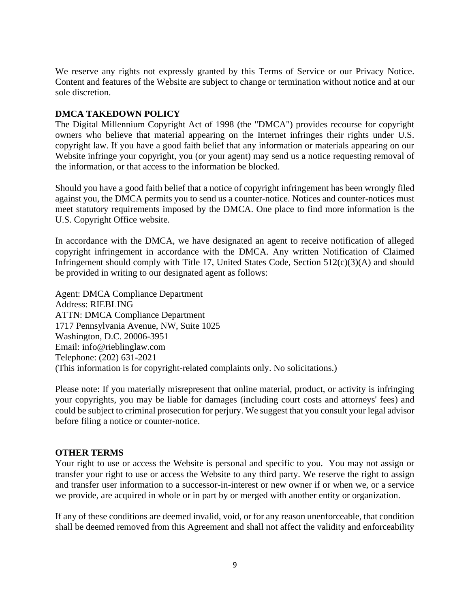We reserve any rights not expressly granted by this Terms of Service or our Privacy Notice. Content and features of the Website are subject to change or termination without notice and at our sole discretion.

### **DMCA TAKEDOWN POLICY**

The Digital Millennium Copyright Act of 1998 (the "DMCA") provides recourse for copyright owners who believe that material appearing on the Internet infringes their rights under U.S. copyright law. If you have a good faith belief that any information or materials appearing on our Website infringe your copyright, you (or your agent) may send us a notice requesting removal of the information, or that access to the information be blocked.

Should you have a good faith belief that a notice of copyright infringement has been wrongly filed against you, the DMCA permits you to send us a counter-notice. Notices and counter-notices must meet statutory requirements imposed by the DMCA. One place to find more information is the U.S. Copyright Office website.

In accordance with the DMCA, we have designated an agent to receive notification of alleged copyright infringement in accordance with the DMCA. Any written Notification of Claimed Infringement should comply with Title 17, United States Code, Section 512(c)(3)(A) and should be provided in writing to our designated agent as follows:

Agent: DMCA Compliance Department Address: RIEBLING ATTN: DMCA Compliance Department 1717 Pennsylvania Avenue, NW, Suite 1025 Washington, D.C. 20006-3951 Email: info@rieblinglaw.com Telephone: (202) 631-2021 (This information is for copyright-related complaints only. No solicitations.)

Please note: If you materially misrepresent that online material, product, or activity is infringing your copyrights, you may be liable for damages (including court costs and attorneys' fees) and could be subject to criminal prosecution for perjury. We suggest that you consult your legal advisor before filing a notice or counter-notice.

### **OTHER TERMS**

Your right to use or access the Website is personal and specific to you. You may not assign or transfer your right to use or access the Website to any third party. We reserve the right to assign and transfer user information to a successor-in-interest or new owner if or when we, or a service we provide, are acquired in whole or in part by or merged with another entity or organization.

If any of these conditions are deemed invalid, void, or for any reason unenforceable, that condition shall be deemed removed from this Agreement and shall not affect the validity and enforceability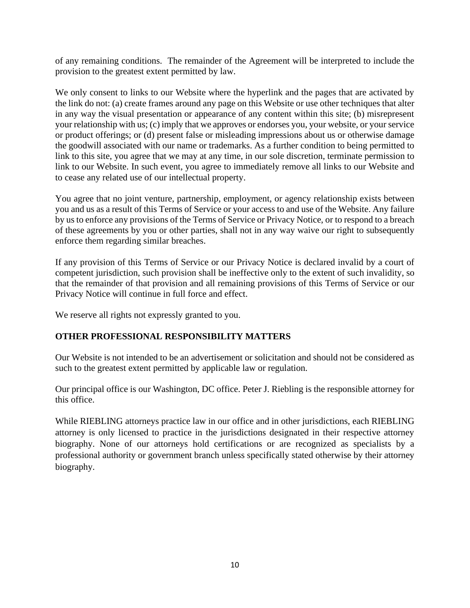of any remaining conditions. The remainder of the Agreement will be interpreted to include the provision to the greatest extent permitted by law.

We only consent to links to our Website where the hyperlink and the pages that are activated by the link do not: (a) create frames around any page on this Website or use other techniques that alter in any way the visual presentation or appearance of any content within this site; (b) misrepresent your relationship with us; (c) imply that we approves or endorses you, your website, or your service or product offerings; or (d) present false or misleading impressions about us or otherwise damage the goodwill associated with our name or trademarks. As a further condition to being permitted to link to this site, you agree that we may at any time, in our sole discretion, terminate permission to link to our Website. In such event, you agree to immediately remove all links to our Website and to cease any related use of our intellectual property.

You agree that no joint venture, partnership, employment, or agency relationship exists between you and us as a result of this Terms of Service or your access to and use of the Website. Any failure by us to enforce any provisions of the Terms of Service or Privacy Notice, or to respond to a breach of these agreements by you or other parties, shall not in any way waive our right to subsequently enforce them regarding similar breaches.

If any provision of this Terms of Service or our Privacy Notice is declared invalid by a court of competent jurisdiction, such provision shall be ineffective only to the extent of such invalidity, so that the remainder of that provision and all remaining provisions of this Terms of Service or our Privacy Notice will continue in full force and effect.

We reserve all rights not expressly granted to you.

# **OTHER PROFESSIONAL RESPONSIBILITY MATTERS**

Our Website is not intended to be an advertisement or solicitation and should not be considered as such to the greatest extent permitted by applicable law or regulation.

Our principal office is our Washington, DC office. Peter J. Riebling is the responsible attorney for this office.

While RIEBLING attorneys practice law in our office and in other jurisdictions, each RIEBLING attorney is only licensed to practice in the jurisdictions designated in their respective attorney biography. None of our attorneys hold certifications or are recognized as specialists by a professional authority or government branch unless specifically stated otherwise by their attorney biography.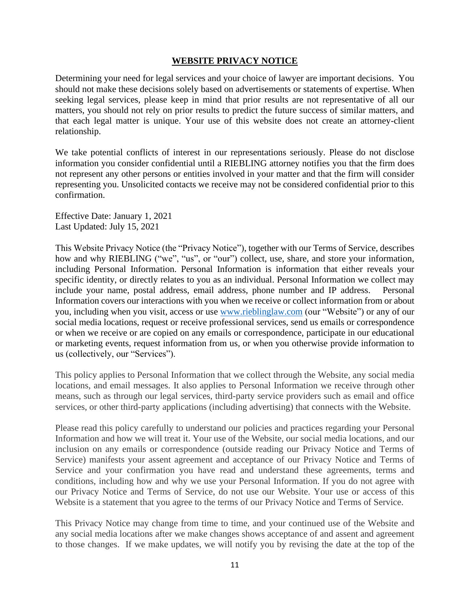#### **WEBSITE PRIVACY NOTICE**

Determining your need for legal services and your choice of lawyer are important decisions. You should not make these decisions solely based on advertisements or statements of expertise. When seeking legal services, please keep in mind that prior results are not representative of all our matters, you should not rely on prior results to predict the future success of similar matters, and that each legal matter is unique. Your use of this website does not create an attorney-client relationship.

We take potential conflicts of interest in our representations seriously. Please do not disclose information you consider confidential until a RIEBLING attorney notifies you that the firm does not represent any other persons or entities involved in your matter and that the firm will consider representing you. Unsolicited contacts we receive may not be considered confidential prior to this confirmation.

Effective Date: January 1, 2021 Last Updated: July 15, 2021

This Website Privacy Notice (the "Privacy Notice"), together with our Terms of Service, describes how and why RIEBLING ("we", "us", or "our") collect, use, share, and store your information, including Personal Information. Personal Information is information that either reveals your specific identity, or directly relates to you as an individual. Personal Information we collect may include your name, postal address, email address, phone number and IP address. Personal Information covers our interactions with you when we receive or collect information from or about you, including when you visit, access or use [www.rieblinglaw.com](http://www.rieblinglaw.com/) (our "Website") or any of our social media locations, request or receive professional services, send us emails or correspondence or when we receive or are copied on any emails or correspondence, participate in our educational or marketing events, request information from us, or when you otherwise provide information to us (collectively, our "Services").

This policy applies to Personal Information that we collect through the Website, any social media locations, and email messages. It also applies to Personal Information we receive through other means, such as through our legal services, third-party service providers such as email and office services, or other third-party applications (including advertising) that connects with the Website.

Please read this policy carefully to understand our policies and practices regarding your Personal Information and how we will treat it. Your use of the Website, our social media locations, and our inclusion on any emails or correspondence (outside reading our Privacy Notice and Terms of Service) manifests your assent agreement and acceptance of our Privacy Notice and Terms of Service and your confirmation you have read and understand these agreements, terms and conditions, including how and why we use your Personal Information. If you do not agree with our Privacy Notice and Terms of Service, do not use our Website. Your use or access of this Website is a statement that you agree to the terms of our Privacy Notice and Terms of Service.

This Privacy Notice may change from time to time, and your continued use of the Website and any social media locations after we make changes shows acceptance of and assent and agreement to those changes. If we make updates, we will notify you by revising the date at the top of the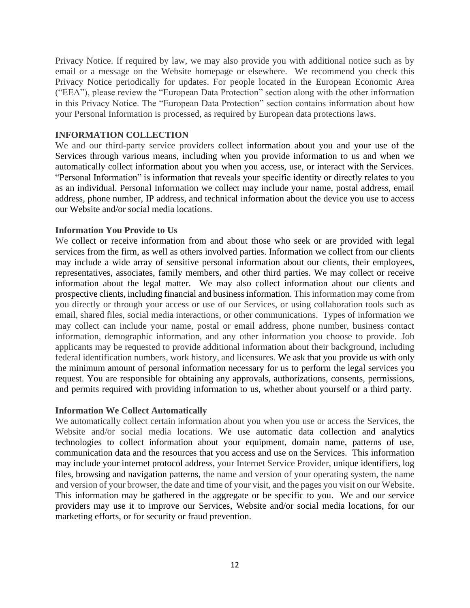Privacy Notice. If required by law, we may also provide you with additional notice such as by email or a message on the Website homepage or elsewhere. We recommend you check this Privacy Notice periodically for updates. For people located in the European Economic Area ("EEA"), please review the "European Data Protection" section along with the other information in this Privacy Notice. The "European Data Protection" section contains information about how your Personal Information is processed, as required by European data protections laws.

### **INFORMATION COLLECTION**

We and our third-party service providers collect information about you and your use of the Services through various means, including when you provide information to us and when we automatically collect information about you when you access, use, or interact with the Services. "Personal Information" is information that reveals your specific identity or directly relates to you as an individual. Personal Information we collect may include your name, postal address, email address, phone number, IP address, and technical information about the device you use to access our Website and/or social media locations.

### **Information You Provide to Us**

We collect or receive information from and about those who seek or are provided with legal services from the firm, as well as others involved parties. Information we collect from our clients may include a wide array of sensitive personal information about our clients, their employees, representatives, associates, family members, and other third parties. We may collect or receive information about the legal matter. We may also collect information about our clients and prospective clients, including financial and business information. This information may come from you directly or through your access or use of our Services, or using collaboration tools such as email, shared files, social media interactions, or other communications. Types of information we may collect can include your name, postal or email address, phone number, business contact information, demographic information, and any other information you choose to provide. Job applicants may be requested to provide additional information about their background, including federal identification numbers, work history, and licensures. We ask that you provide us with only the minimum amount of personal information necessary for us to perform the legal services you request. You are responsible for obtaining any approvals, authorizations, consents, permissions, and permits required with providing information to us, whether about yourself or a third party.

### **Information We Collect Automatically**

We automatically collect certain information about you when you use or access the Services, the Website and/or social media locations. We use automatic data collection and analytics technologies to collect information about your equipment, domain name, patterns of use, communication data and the resources that you access and use on the Services. This information may include your internet protocol address, your Internet Service Provider, unique identifiers, log files, browsing and navigation patterns, the name and version of your operating system, the name and version of your browser, the date and time of your visit, and the pages you visit on our Website. This information may be gathered in the aggregate or be specific to you. We and our service providers may use it to improve our Services, Website and/or social media locations, for our marketing efforts, or for security or fraud prevention.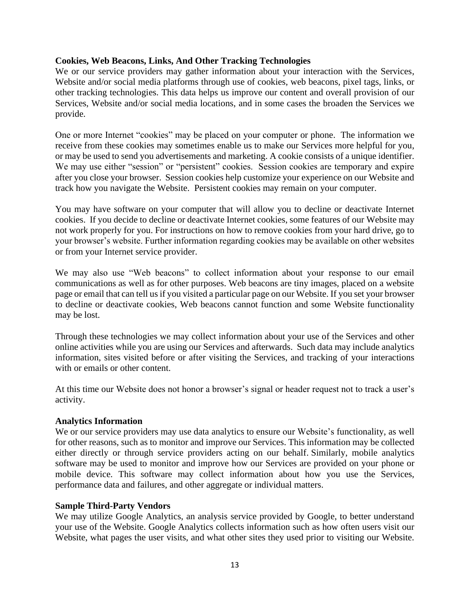### **Cookies, Web Beacons, Links, And Other Tracking Technologies**

We or our service providers may gather information about your interaction with the Services, Website and/or social media platforms through use of cookies, web beacons, pixel tags, links, or other tracking technologies. This data helps us improve our content and overall provision of our Services, Website and/or social media locations, and in some cases the broaden the Services we provide.

One or more Internet "cookies" may be placed on your computer or phone. The information we receive from these cookies may sometimes enable us to make our Services more helpful for you, or may be used to send you advertisements and marketing. A cookie consists of a unique identifier. We may use either "session" or "persistent" cookies. Session cookies are temporary and expire after you close your browser. Session cookies help customize your experience on our Website and track how you navigate the Website. Persistent cookies may remain on your computer.

You may have software on your computer that will allow you to decline or deactivate Internet cookies. If you decide to decline or deactivate Internet cookies, some features of our Website may not work properly for you. For instructions on how to remove cookies from your hard drive, go to your browser's website. Further information regarding cookies may be available on other websites or from your Internet service provider.

We may also use "Web beacons" to collect information about your response to our email communications as well as for other purposes. Web beacons are tiny images, placed on a website page or email that can tell us if you visited a particular page on our Website. If you set your browser to decline or deactivate cookies, Web beacons cannot function and some Website functionality may be lost.

Through these technologies we may collect information about your use of the Services and other online activities while you are using our Services and afterwards. Such data may include analytics information, sites visited before or after visiting the Services, and tracking of your interactions with or emails or other content.

At this time our Website does not honor a browser's signal or header request not to track a user's activity.

### **Analytics Information**

We or our service providers may use data analytics to ensure our Website's functionality, as well for other reasons, such as to monitor and improve our Services. This information may be collected either directly or through service providers acting on our behalf. Similarly, mobile analytics software may be used to monitor and improve how our Services are provided on your phone or mobile device. This software may collect information about how you use the Services, performance data and failures, and other aggregate or individual matters.

### **Sample Third-Party Vendors**

We may utilize Google Analytics, an analysis service provided by Google, to better understand your use of the Website. Google Analytics collects information such as how often users visit our Website, what pages the user visits, and what other sites they used prior to visiting our Website.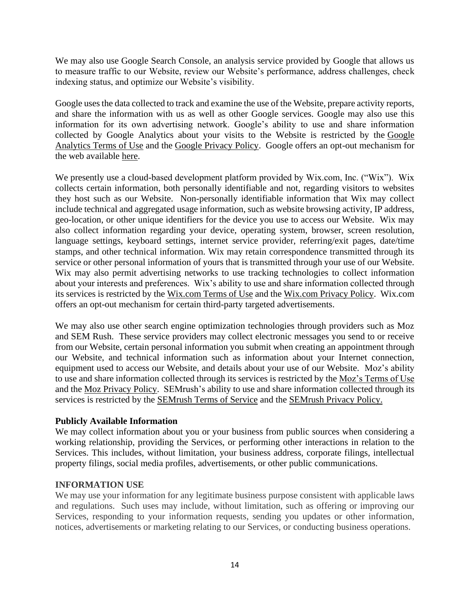We may also use Google Search Console, an analysis service provided by Google that allows us to measure traffic to our Website, review our Website's performance, address challenges, check indexing status, and optimize our Website's visibility.

Google uses the data collected to track and examine the use of the Website, prepare activity reports, and share the information with us as well as other Google services. Google may also use this information for its own advertising network. Google's ability to use and share information collected by Google Analytics about your visits to the Website is restricted by the [Google](https://www.google.com/analytics/terms/us.html)  [Analytics Terms of Use](https://www.google.com/analytics/terms/us.html) and the [Google Privacy Policy.](https://www.google.com/policies/privacy/) Google offers an opt-out mechanism for the web available [here.](https://tools.google.com/dlpage/gaoptout/)

We presently use a cloud-based development platform provided by Wix.com, Inc. ("Wix"). Wix collects certain information, both personally identifiable and not, regarding visitors to websites they host such as our Website. Non-personally identifiable information that Wix may collect include technical and aggregated usage information, such as website browsing activity, IP address, geo-location, or other unique identifiers for the device you use to access our Website. Wix may also collect information regarding your device, operating system, browser, screen resolution, language settings, keyboard settings, internet service provider, referring/exit pages, date/time stamps, and other technical information. Wix may retain correspondence transmitted through its service or other personal information of yours that is transmitted through your use of our Website. Wix may also permit advertising networks to use tracking technologies to collect information about your interests and preferences. Wix's ability to use and share information collected through its services is restricted by the [Wix.com Terms of Use](https://www.wix.com/about/terms-of-use) and the [Wix.com Privacy Policy.](https://www.wix.com/about/privacy) Wix.com offers an opt-out mechanism for certain third-party targeted advertisements.

We may also use other search engine optimization technologies through providers such as Moz and SEM Rush. These service providers may collect electronic messages you send to or receive from our Website, certain personal information you submit when creating an appointment through our Website, and technical information such as information about your Internet connection, equipment used to access our Website, and details about your use of our Website. Moz's ability to use and share information collected through its services is restricted by the [Moz's Terms of Use](https://moz.com/terms-of-use) and the [Moz Privacy Policy.](https://moz.com/privacy-policy) SEMrush's ability to use and share information collected through its services is restricted by the [SEMrush Terms of Service](https://www.semrush.com/company/legal/terms-of-service/) and the [SEMrush Privacy Policy.](https://www.semrush.com/company/legal/privacy-policy/)

### **Publicly Available Information**

We may collect information about you or your business from public sources when considering a working relationship, providing the Services, or performing other interactions in relation to the Services. This includes, without limitation, your business address, corporate filings, intellectual property filings, social media profiles, advertisements, or other public communications.

### **INFORMATION USE**

We may use your information for any legitimate business purpose consistent with applicable laws and regulations. Such uses may include, without limitation, such as offering or improving our Services, responding to your information requests, sending you updates or other information, notices, advertisements or marketing relating to our Services, or conducting business operations.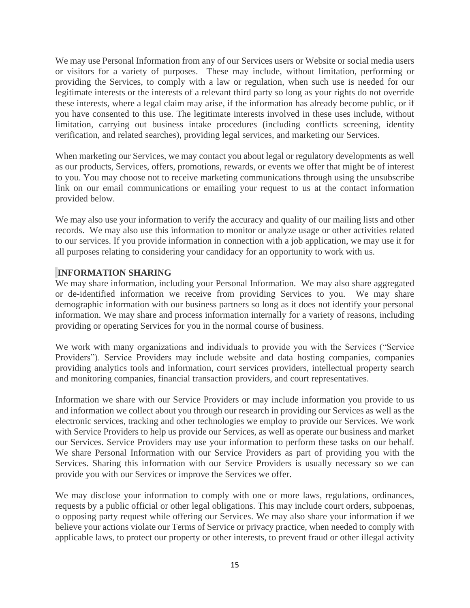We may use Personal Information from any of our Services users or Website or social media users or visitors for a variety of purposes. These may include, without limitation, performing or providing the Services, to comply with a law or regulation, when such use is needed for our legitimate interests or the interests of a relevant third party so long as your rights do not override these interests, where a legal claim may arise, if the information has already become public, or if you have consented to this use. The legitimate interests involved in these uses include, without limitation, carrying out business intake procedures (including conflicts screening, identity verification, and related searches), providing legal services, and marketing our Services.

When marketing our Services, we may contact you about legal or regulatory developments as well as our products, Services, offers, promotions, rewards, or events we offer that might be of interest to you. You may choose not to receive marketing communications through using the unsubscribe link on our email communications or emailing your request to us at the contact information provided below.

We may also use your information to verify the accuracy and quality of our mailing lists and other records. We may also use this information to monitor or analyze usage or other activities related to our services. If you provide information in connection with a job application, we may use it for all purposes relating to considering your candidacy for an opportunity to work with us.

# **INFORMATION SHARING**

We may share information, including your Personal Information. We may also share aggregated or de-identified information we receive from providing Services to you. We may share demographic information with our business partners so long as it does not identify your personal information. We may share and process information internally for a variety of reasons, including providing or operating Services for you in the normal course of business.

We work with many organizations and individuals to provide you with the Services ("Service Providers"). Service Providers may include website and data hosting companies, companies providing analytics tools and information, court services providers, intellectual property search and monitoring companies, financial transaction providers, and court representatives.

Information we share with our Service Providers or may include information you provide to us and information we collect about you through our research in providing our Services as well as the electronic services, tracking and other technologies we employ to provide our Services. We work with Service Providers to help us provide our Services, as well as operate our business and market our Services. Service Providers may use your information to perform these tasks on our behalf. We share Personal Information with our Service Providers as part of providing you with the Services. Sharing this information with our Service Providers is usually necessary so we can provide you with our Services or improve the Services we offer.

We may disclose your information to comply with one or more laws, regulations, ordinances, requests by a public official or other legal obligations. This may include court orders, subpoenas, o opposing party request while offering our Services. We may also share your information if we believe your actions violate our Terms of Service or privacy practice, when needed to comply with applicable laws, to protect our property or other interests, to prevent fraud or other illegal activity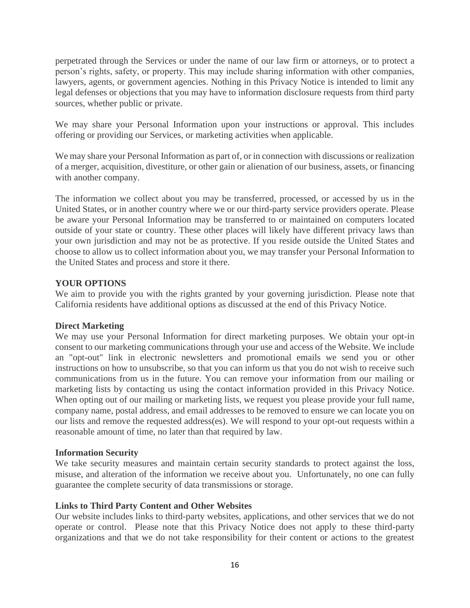perpetrated through the Services or under the name of our law firm or attorneys, or to protect a person's rights, safety, or property. This may include sharing information with other companies, lawyers, agents, or government agencies. Nothing in this Privacy Notice is intended to limit any legal defenses or objections that you may have to information disclosure requests from third party sources, whether public or private.

We may share your Personal Information upon your instructions or approval. This includes offering or providing our Services, or marketing activities when applicable.

We may share your Personal Information as part of, or in connection with discussions or realization of a merger, acquisition, divestiture, or other gain or alienation of our business, assets, or financing with another company.

The information we collect about you may be transferred, processed, or accessed by us in the United States, or in another country where we or our third-party service providers operate. Please be aware your Personal Information may be transferred to or maintained on computers located outside of your state or country. These other places will likely have different privacy laws than your own jurisdiction and may not be as protective. If you reside outside the United States and choose to allow us to collect information about you, we may transfer your Personal Information to the United States and process and store it there.

# **YOUR OPTIONS**

We aim to provide you with the rights granted by your governing jurisdiction. Please note that California residents have additional options as discussed at the end of this Privacy Notice.

### **Direct Marketing**

We may use your Personal Information for direct marketing purposes. We obtain your opt-in consent to our marketing communications through your use and access of the Website. We include an "opt-out" link in electronic newsletters and promotional emails we send you or other instructions on how to unsubscribe, so that you can inform us that you do not wish to receive such communications from us in the future. You can remove your information from our mailing or marketing lists by contacting us using the contact information provided in this Privacy Notice. When opting out of our mailing or marketing lists, we request you please provide your full name, company name, postal address, and email addresses to be removed to ensure we can locate you on our lists and remove the requested address(es). We will respond to your opt-out requests within a reasonable amount of time, no later than that required by law.

### **Information Security**

We take security measures and maintain certain security standards to protect against the loss, misuse, and alteration of the information we receive about you. Unfortunately, no one can fully guarantee the complete security of data transmissions or storage.

### **Links to Third Party Content and Other Websites**

Our website includes links to third-party websites, applications, and other services that we do not operate or control. Please note that this Privacy Notice does not apply to these third-party organizations and that we do not take responsibility for their content or actions to the greatest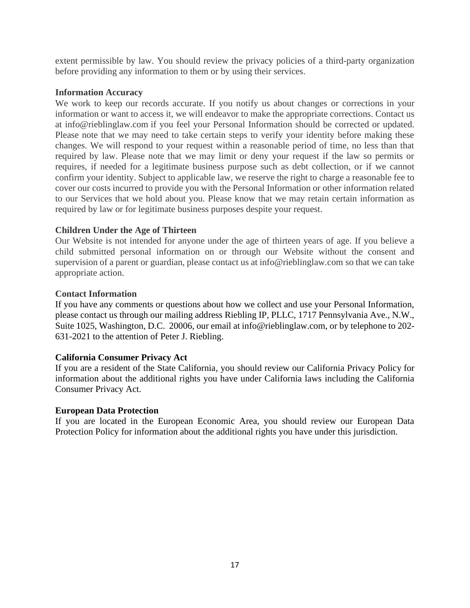extent permissible by law. You should review the privacy policies of a third-party organization before providing any information to them or by using their services.

### **Information Accuracy**

We work to keep our records accurate. If you notify us about changes or corrections in your information or want to access it, we will endeavor to make the appropriate corrections. Contact us at info@rieblinglaw.com if you feel your Personal Information should be corrected or updated. Please note that we may need to take certain steps to verify your identity before making these changes. We will respond to your request within a reasonable period of time, no less than that required by law. Please note that we may limit or deny your request if the law so permits or requires, if needed for a legitimate business purpose such as debt collection, or if we cannot confirm your identity. Subject to applicable law, we reserve the right to charge a reasonable fee to cover our costs incurred to provide you with the Personal Information or other information related to our Services that we hold about you. Please know that we may retain certain information as required by law or for legitimate business purposes despite your request.

# **Children Under the Age of Thirteen**

Our Website is not intended for anyone under the age of thirteen years of age. If you believe a child submitted personal information on or through our Website without the consent and supervision of a parent or guardian, please contact us at info@rieblinglaw.com so that we can take appropriate action.

### **Contact Information**

If you have any comments or questions about how we collect and use your Personal Information, please contact us through our mailing address Riebling IP, PLLC, 1717 Pennsylvania Ave., N.W., Suite 1025, Washington, D.C. 20006, our email at info@rieblinglaw.com, or by telephone to 202- 631-2021 to the attention of Peter J. Riebling.

### **California Consumer Privacy Act**

If you are a resident of the State California, you should review our California Privacy Policy for information about the additional rights you have under California laws including the California Consumer Privacy Act.

### **European Data Protection**

If you are located in the European Economic Area, you should review our European Data Protection Policy for information about the additional rights you have under this jurisdiction.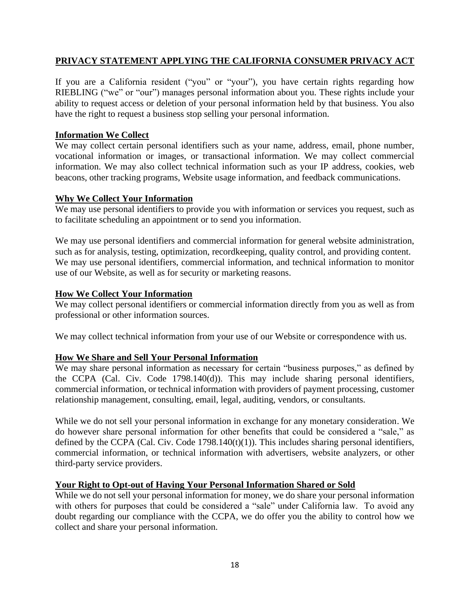# **PRIVACY STATEMENT APPLYING THE CALIFORNIA CONSUMER PRIVACY ACT**

If you are a California resident ("you" or "your"), you have certain rights regarding how RIEBLING ("we" or "our") manages personal information about you. These rights include your ability to request access or deletion of your personal information held by that business. You also have the right to request a business stop selling your personal information.

### **Information We Collect**

We may collect certain personal identifiers such as your name, address, email, phone number, vocational information or images, or transactional information. We may collect commercial information. We may also collect technical information such as your IP address, cookies, web beacons, other tracking programs, Website usage information, and feedback communications.

### **Why We Collect Your Information**

We may use personal identifiers to provide you with information or services you request, such as to facilitate scheduling an appointment or to send you information.

We may use personal identifiers and commercial information for general website administration, such as for analysis, testing, optimization, recordkeeping, quality control, and providing content. We may use personal identifiers, commercial information, and technical information to monitor use of our Website, as well as for security or marketing reasons.

### **How We Collect Your Information**

We may collect personal identifiers or commercial information directly from you as well as from professional or other information sources.

We may collect technical information from your use of our Website or correspondence with us.

# **How We Share and Sell Your Personal Information**

We may share personal information as necessary for certain "business purposes," as defined by the CCPA (Cal. Civ. Code 1798.140(d)). This may include sharing personal identifiers, commercial information, or technical information with providers of payment processing, customer relationship management, consulting, email, legal, auditing, vendors, or consultants.

While we do not sell your personal information in exchange for any monetary consideration. We do however share personal information for other benefits that could be considered a "sale," as defined by the CCPA (Cal. Civ. Code  $1798.140(t)(1)$ ). This includes sharing personal identifiers, commercial information, or technical information with advertisers, website analyzers, or other third-party service providers.

### **Your Right to Opt-out of Having Your Personal Information Shared or Sold**

While we do not sell your personal information for money, we do share your personal information with others for purposes that could be considered a "sale" under California law. To avoid any doubt regarding our compliance with the CCPA, we do offer you the ability to control how we collect and share your personal information.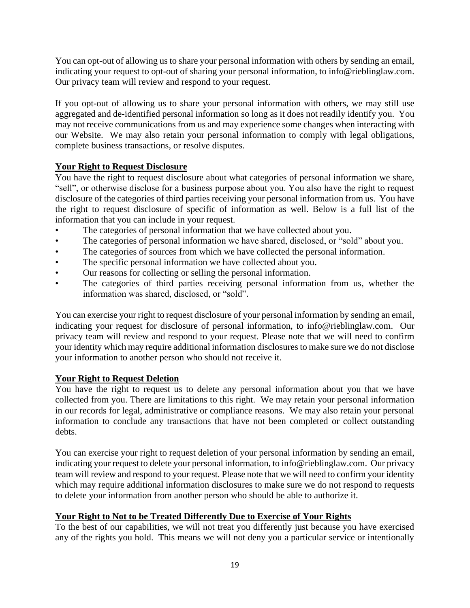You can opt-out of allowing us to share your personal information with others by sending an email, indicating your request to opt-out of sharing your personal information, to info@rieblinglaw.com. Our privacy team will review and respond to your request.

If you opt-out of allowing us to share your personal information with others, we may still use aggregated and de-identified personal information so long as it does not readily identify you. You may not receive communications from us and may experience some changes when interacting with our Website. We may also retain your personal information to comply with legal obligations, complete business transactions, or resolve disputes.

# **Your Right to Request Disclosure**

You have the right to request disclosure about what categories of personal information we share, "sell", or otherwise disclose for a business purpose about you. You also have the right to request disclosure of the categories of third parties receiving your personal information from us. You have the right to request disclosure of specific of information as well. Below is a full list of the information that you can include in your request.

- The categories of personal information that we have collected about you.
- The categories of personal information we have shared, disclosed, or "sold" about you.
- The categories of sources from which we have collected the personal information.
- The specific personal information we have collected about you.
- Our reasons for collecting or selling the personal information.
- The categories of third parties receiving personal information from us, whether the information was shared, disclosed, or "sold".

You can exercise your right to request disclosure of your personal information by sending an email, indicating your request for disclosure of personal information, to info@rieblinglaw.com. Our privacy team will review and respond to your request. Please note that we will need to confirm your identity which may require additional information disclosures to make sure we do not disclose your information to another person who should not receive it.

# **Your Right to Request Deletion**

You have the right to request us to delete any personal information about you that we have collected from you. There are limitations to this right. We may retain your personal information in our records for legal, administrative or compliance reasons. We may also retain your personal information to conclude any transactions that have not been completed or collect outstanding debts.

You can exercise your right to request deletion of your personal information by sending an email, indicating your request to delete your personal information, to info@rieblinglaw.com. Our privacy team will review and respond to your request. Please note that we will need to confirm your identity which may require additional information disclosures to make sure we do not respond to requests to delete your information from another person who should be able to authorize it.

# **Your Right to Not to be Treated Differently Due to Exercise of Your Rights**

To the best of our capabilities, we will not treat you differently just because you have exercised any of the rights you hold. This means we will not deny you a particular service or intentionally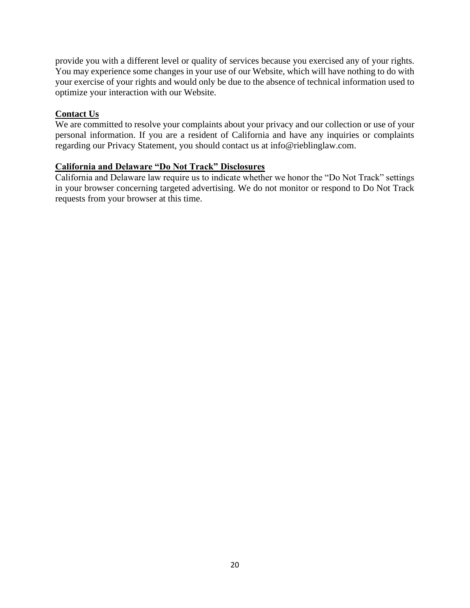provide you with a different level or quality of services because you exercised any of your rights. You may experience some changes in your use of our Website, which will have nothing to do with your exercise of your rights and would only be due to the absence of technical information used to optimize your interaction with our Website.

# **Contact Us**

We are committed to resolve your complaints about your privacy and our collection or use of your personal information. If you are a resident of California and have any inquiries or complaints regarding our Privacy Statement, you should contact us at info@rieblinglaw.com.

# **California and Delaware "Do Not Track" Disclosures**

California and Delaware law require us to indicate whether we honor the "Do Not Track" settings in your browser concerning targeted advertising. We do not monitor or respond to Do Not Track requests from your browser at this time.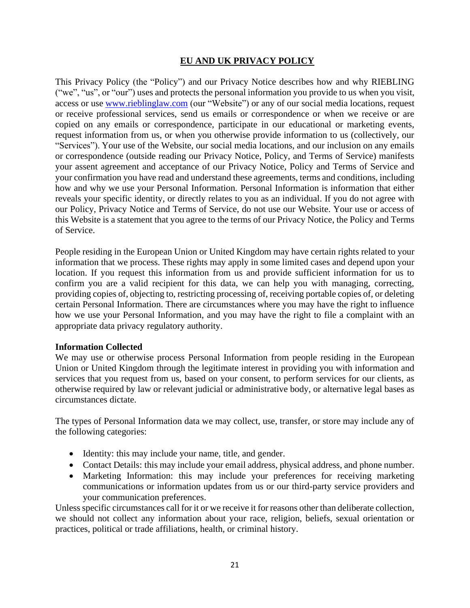### **EU AND UK PRIVACY POLICY**

This Privacy Policy (the "Policy") and our Privacy Notice describes how and why RIEBLING ("we", "us", or "our") uses and protects the personal information you provide to us when you visit, access or use [www.rieblinglaw.com](http://www.rieblinglaw.com/) (our "Website") or any of our social media locations, request or receive professional services, send us emails or correspondence or when we receive or are copied on any emails or correspondence, participate in our educational or marketing events, request information from us, or when you otherwise provide information to us (collectively, our "Services"). Your use of the Website, our social media locations, and our inclusion on any emails or correspondence (outside reading our Privacy Notice, Policy, and Terms of Service) manifests your assent agreement and acceptance of our Privacy Notice, Policy and Terms of Service and your confirmation you have read and understand these agreements, terms and conditions, including how and why we use your Personal Information. Personal Information is information that either reveals your specific identity, or directly relates to you as an individual. If you do not agree with our Policy, Privacy Notice and Terms of Service, do not use our Website. Your use or access of this Website is a statement that you agree to the terms of our Privacy Notice, the Policy and Terms of Service.

People residing in the European Union or United Kingdom may have certain rights related to your information that we process. These rights may apply in some limited cases and depend upon your location. If you request this information from us and provide sufficient information for us to confirm you are a valid recipient for this data, we can help you with managing, correcting, providing copies of, objecting to, restricting processing of, receiving portable copies of, or deleting certain Personal Information. There are circumstances where you may have the right to influence how we use your Personal Information, and you may have the right to file a complaint with an appropriate data privacy regulatory authority.

### **Information Collected**

We may use or otherwise process Personal Information from people residing in the European Union or United Kingdom through the legitimate interest in providing you with information and services that you request from us, based on your consent, to perform services for our clients, as otherwise required by law or relevant judicial or administrative body, or alternative legal bases as circumstances dictate.

The types of Personal Information data we may collect, use, transfer, or store may include any of the following categories:

- Identity: this may include your name, title, and gender.
- Contact Details: this may include your email address, physical address, and phone number.
- Marketing Information: this may include your preferences for receiving marketing communications or information updates from us or our third-party service providers and your communication preferences.

Unless specific circumstances call for it or we receive it for reasons other than deliberate collection, we should not collect any information about your race, religion, beliefs, sexual orientation or practices, political or trade affiliations, health, or criminal history.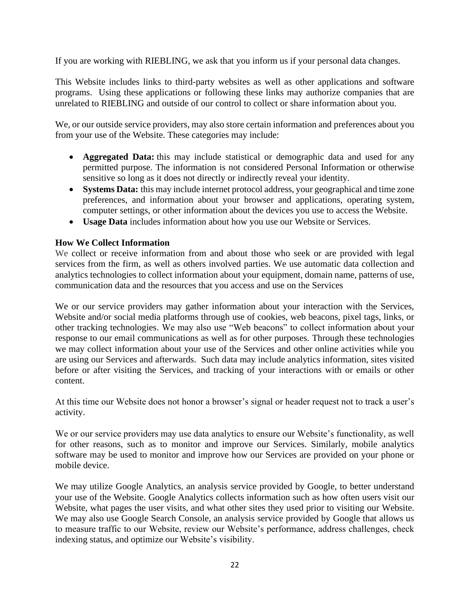If you are working with RIEBLING, we ask that you inform us if your personal data changes.

This Website includes links to third-party websites as well as other applications and software programs. Using these applications or following these links may authorize companies that are unrelated to RIEBLING and outside of our control to collect or share information about you.

We, or our outside service providers, may also store certain information and preferences about you from your use of the Website. These categories may include:

- **Aggregated Data:** this may include statistical or demographic data and used for any permitted purpose. The information is not considered Personal Information or otherwise sensitive so long as it does not directly or indirectly reveal your identity.
- **Systems Data:** this may include internet protocol address, your geographical and time zone preferences, and information about your browser and applications, operating system, computer settings, or other information about the devices you use to access the Website.
- **Usage Data** includes information about how you use our Website or Services.

# **How We Collect Information**

We collect or receive information from and about those who seek or are provided with legal services from the firm, as well as others involved parties. We use automatic data collection and analytics technologies to collect information about your equipment, domain name, patterns of use, communication data and the resources that you access and use on the Services

We or our service providers may gather information about your interaction with the Services, Website and/or social media platforms through use of cookies, web beacons, pixel tags, links, or other tracking technologies. We may also use "Web beacons" to collect information about your response to our email communications as well as for other purposes. Through these technologies we may collect information about your use of the Services and other online activities while you are using our Services and afterwards. Such data may include analytics information, sites visited before or after visiting the Services, and tracking of your interactions with or emails or other content.

At this time our Website does not honor a browser's signal or header request not to track a user's activity.

We or our service providers may use data analytics to ensure our Website's functionality, as well for other reasons, such as to monitor and improve our Services. Similarly, mobile analytics software may be used to monitor and improve how our Services are provided on your phone or mobile device.

We may utilize Google Analytics, an analysis service provided by Google, to better understand your use of the Website. Google Analytics collects information such as how often users visit our Website, what pages the user visits, and what other sites they used prior to visiting our Website. We may also use Google Search Console, an analysis service provided by Google that allows us to measure traffic to our Website, review our Website's performance, address challenges, check indexing status, and optimize our Website's visibility.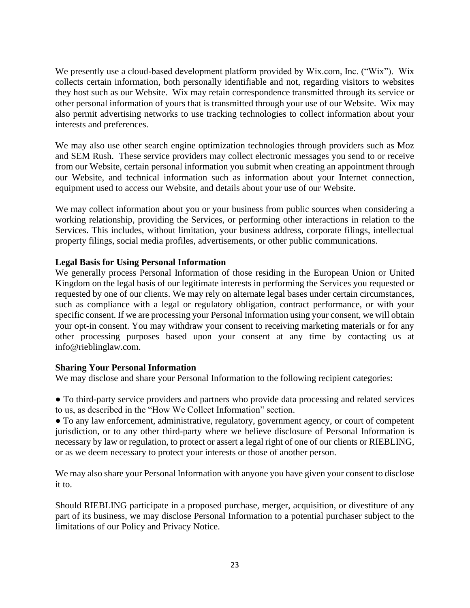We presently use a cloud-based development platform provided by Wix.com, Inc. ("Wix"). Wix collects certain information, both personally identifiable and not, regarding visitors to websites they host such as our Website. Wix may retain correspondence transmitted through its service or other personal information of yours that is transmitted through your use of our Website. Wix may also permit advertising networks to use tracking technologies to collect information about your interests and preferences.

We may also use other search engine optimization technologies through providers such as Moz and SEM Rush. These service providers may collect electronic messages you send to or receive from our Website, certain personal information you submit when creating an appointment through our Website, and technical information such as information about your Internet connection, equipment used to access our Website, and details about your use of our Website.

We may collect information about you or your business from public sources when considering a working relationship, providing the Services, or performing other interactions in relation to the Services. This includes, without limitation, your business address, corporate filings, intellectual property filings, social media profiles, advertisements, or other public communications.

### **Legal Basis for Using Personal Information**

We generally process Personal Information of those residing in the European Union or United Kingdom on the legal basis of our legitimate interests in performing the Services you requested or requested by one of our clients. We may rely on alternate legal bases under certain circumstances, such as compliance with a legal or regulatory obligation, contract performance, or with your specific consent. If we are processing your Personal Information using your consent, we will obtain your opt-in consent. You may withdraw your consent to receiving marketing materials or for any other processing purposes based upon your consent at any time by contacting us at info@rieblinglaw.com.

### **Sharing Your Personal Information**

We may disclose and share your Personal Information to the following recipient categories:

● To third-party service providers and partners who provide data processing and related services to us, as described in the "How We Collect Information" section.

● To any law enforcement, administrative, regulatory, government agency, or court of competent jurisdiction, or to any other third-party where we believe disclosure of Personal Information is necessary by law or regulation, to protect or assert a legal right of one of our clients or RIEBLING, or as we deem necessary to protect your interests or those of another person.

We may also share your Personal Information with anyone you have given your consent to disclose it to.

Should RIEBLING participate in a proposed purchase, merger, acquisition, or divestiture of any part of its business, we may disclose Personal Information to a potential purchaser subject to the limitations of our Policy and Privacy Notice.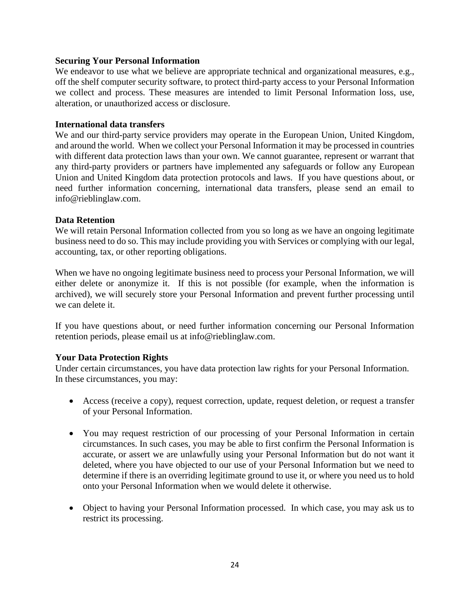### **Securing Your Personal Information**

We endeavor to use what we believe are appropriate technical and organizational measures, e.g., off the shelf computer security software, to protect third-party access to your Personal Information we collect and process. These measures are intended to limit Personal Information loss, use, alteration, or unauthorized access or disclosure.

#### **International data transfers**

We and our third-party service providers may operate in the European Union, United Kingdom, and around the world. When we collect your Personal Information it may be processed in countries with different data protection laws than your own. We cannot guarantee, represent or warrant that any third-party providers or partners have implemented any safeguards or follow any European Union and United Kingdom data protection protocols and laws. If you have questions about, or need further information concerning, international data transfers, please send an email to info@rieblinglaw.com.

#### **Data Retention**

We will retain Personal Information collected from you so long as we have an ongoing legitimate business need to do so. This may include providing you with Services or complying with our legal, accounting, tax, or other reporting obligations.

When we have no ongoing legitimate business need to process your Personal Information, we will either delete or anonymize it. If this is not possible (for example, when the information is archived), we will securely store your Personal Information and prevent further processing until we can delete it.

If you have questions about, or need further information concerning our Personal Information retention periods, please email us at info@rieblinglaw.com.

### **Your Data Protection Rights**

Under certain circumstances, you have data protection law rights for your Personal Information. In these circumstances, you may:

- Access (receive a copy), request correction, update, request deletion, or request a transfer of your Personal Information.
- You may request restriction of our processing of your Personal Information in certain circumstances. In such cases, you may be able to first confirm the Personal Information is accurate, or assert we are unlawfully using your Personal Information but do not want it deleted, where you have objected to our use of your Personal Information but we need to determine if there is an overriding legitimate ground to use it, or where you need us to hold onto your Personal Information when we would delete it otherwise.
- Object to having your Personal Information processed. In which case, you may ask us to restrict its processing.